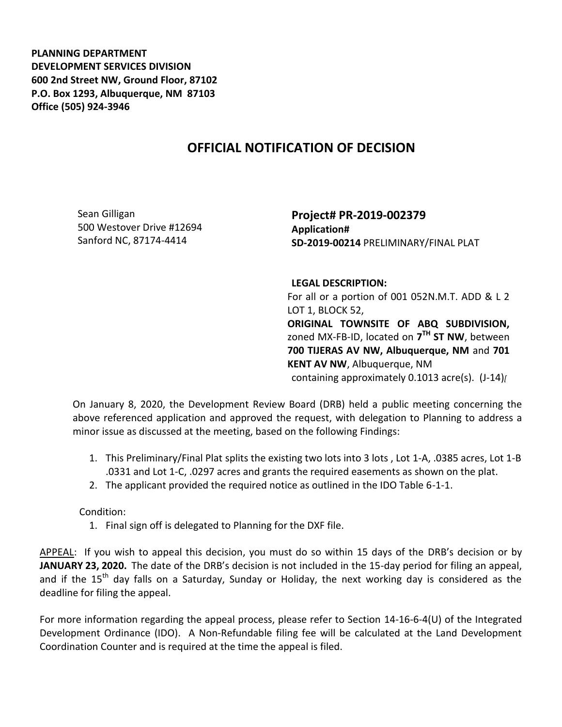**PLANNING DEPARTMENT DEVELOPMENT SERVICES DIVISION 600 2nd Street NW, Ground Floor, 87102 P.O. Box 1293, Albuquerque, NM 87103 Office (505) 924-3946** 

## **OFFICIAL NOTIFICATION OF DECISION**

Sean Gilligan 500 Westover Drive #12694 Sanford NC, 87174-4414

**Project# PR-2019-002379 Application# SD-2019-00214** PRELIMINARY/FINAL PLAT

**LEGAL DESCRIPTION:**

For all or a portion of 001 052N.M.T. ADD & L 2 LOT 1, BLOCK 52, **ORIGINAL TOWNSITE OF ABQ SUBDIVISION,**  zoned MX-FB-ID, located on **7 TH ST NW**, between **700 TIJERAS AV NW, Albuquerque, NM** and **701 KENT AV NW**, Albuquerque, NM containing approximately 0.1013 acre(s). (J-14)*[*

On January 8, 2020, the Development Review Board (DRB) held a public meeting concerning the above referenced application and approved the request, with delegation to Planning to address a minor issue as discussed at the meeting, based on the following Findings:

- 1. This Preliminary/Final Plat splits the existing two lots into 3 lots , Lot 1-A, .0385 acres, Lot 1-B .0331 and Lot 1-C, .0297 acres and grants the required easements as shown on the plat.
- 2. The applicant provided the required notice as outlined in the IDO Table 6-1-1.

Condition:

1. Final sign off is delegated to Planning for the DXF file.

APPEAL: If you wish to appeal this decision, you must do so within 15 days of the DRB's decision or by **JANUARY 23, 2020.** The date of the DRB's decision is not included in the 15-day period for filing an appeal, and if the 15<sup>th</sup> day falls on a Saturday, Sunday or Holiday, the next working day is considered as the deadline for filing the appeal.

For more information regarding the appeal process, please refer to Section 14-16-6-4(U) of the Integrated Development Ordinance (IDO). A Non-Refundable filing fee will be calculated at the Land Development Coordination Counter and is required at the time the appeal is filed.